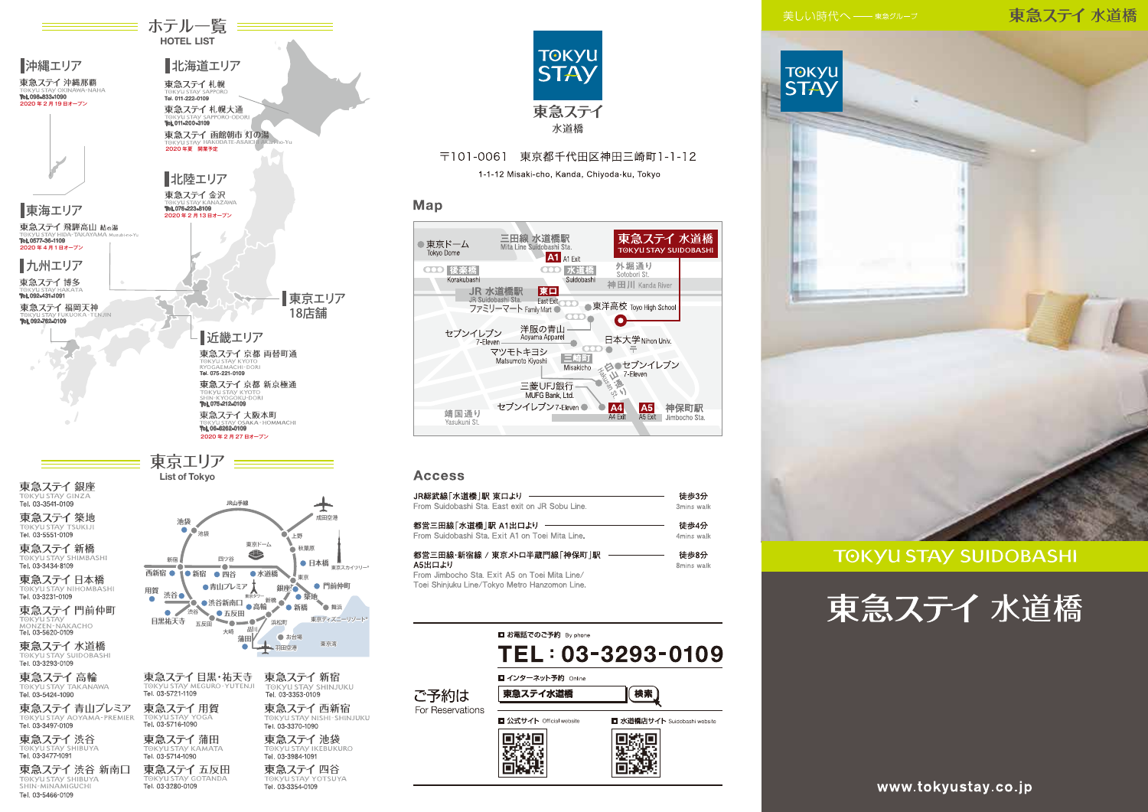# 東急ステイ水道橋



# **TOKYU STAY SUIDOBASHI**





Tel. 03-3280-0109

TOKYU STAY SHIBUYA

Tel. 03-5466-0109

ホテル一覧 == **HOTEL LIST** 

> 東急ステイ四谷 Tel. 03-3354-0109



# 〒101-0061 東京都千代田区神田三崎町1-1-12

1-1-12 Misaki-cho, Kanda, Chiyoda-ku, Tokyo

# Map



## **Access**

| JR総武線「水道橋  駅 東口より                                                                                                                        | 徒歩3分               |
|------------------------------------------------------------------------------------------------------------------------------------------|--------------------|
| From Suidobashi Sta. East exit on JR Sobu Line.                                                                                          | 3mins walk         |
| 都営三田線「水道橋 駅 A1出口より                                                                                                                       | 徒歩4分               |
| From Suidobashi Sta. Exit A1 on Toei Mita Line.                                                                                          | 4mins walk         |
| 都営三田線・新宿線 / 東京メトロ半蔵門線「神保町  駅<br>A5出口より<br>From Jimbocho Sta, Exit A5 on Toei Mita Line/<br>Toei Shinjuku Line/Tokyo Metro Hanzomon Line. | 徒歩8分<br>8mins walk |



# www.tokyustay.co.jp